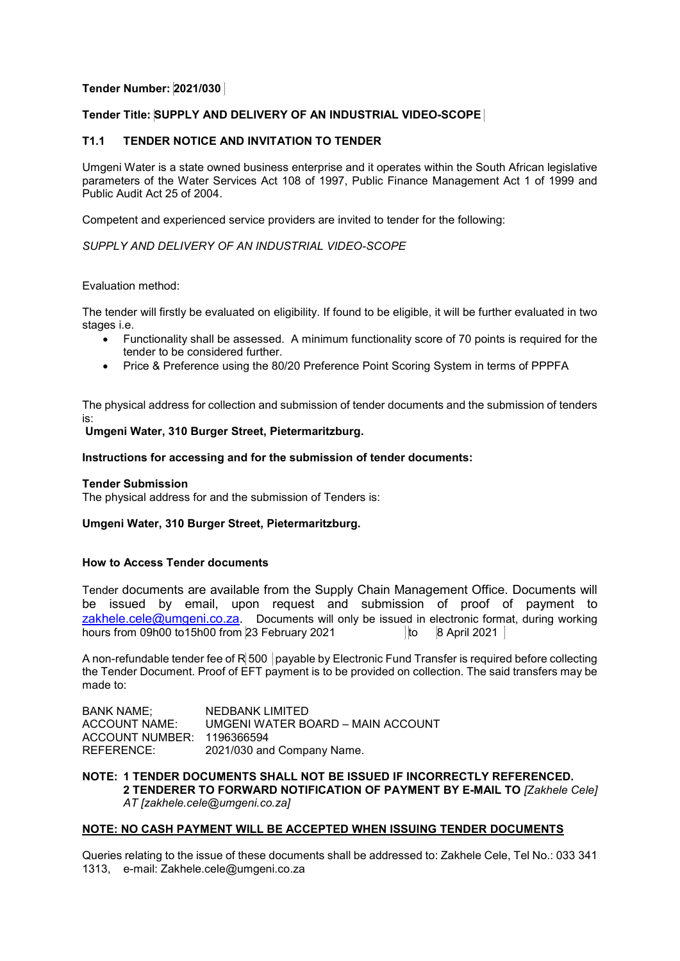# **Tender Number: 2021/030**

# **Tender Title: SUPPLY AND DELIVERY OF AN INDUSTRIAL VIDEO-SCOPE**

## **T1.1 TENDER NOTICE AND INVITATION TO TENDER**

Umgeni Water is a state owned business enterprise and it operates within the South African legislative parameters of the Water Services Act 108 of 1997, Public Finance Management Act 1 of 1999 and Public Audit Act 25 of 2004.

Competent and experienced service providers are invited to tender for the following:

## *SUPPLY AND DELIVERY OF AN INDUSTRIAL VIDEO-SCOPE*

### Evaluation method:

The tender will firstly be evaluated on eligibility. If found to be eligible, it will be further evaluated in two stages i.e.

- Functionality shall be assessed. A minimum functionality score of 70 points is required for the tender to be considered further.
- Price & Preference using the 80/20 Preference Point Scoring System in terms of PPPFA

The physical address for collection and submission of tender documents and the submission of tenders is:

# **Umgeni Water, 310 Burger Street, Pietermaritzburg.**

#### **Instructions for accessing and for the submission of tender documents:**

#### **Tender Submission**

The physical address for and the submission of Tenders is:

#### **Umgeni Water, 310 Burger Street, Pietermaritzburg.**

## **How to Access Tender documents**

Tender documents are available from the Supply Chain Management Office. Documents will be issued by email, upon request and submission of proof of payment to [zakhele.cele@umgeni.co.za.](mailto:zakhele.cele@umgeni.co.za) Documents will only be issued in electronic format, during working hours from 09h00 to15h00 from 23 February 2021  $\vert$  to 8 April 2021

A non-refundable tender fee of R 500 payable by Electronic Fund Transfer is required before collecting the Tender Document. Proof of EFT payment is to be provided on collection. The said transfers may be made to:

| <b>BANK NAME;</b>          | NEDBANK LIMITED                   |
|----------------------------|-----------------------------------|
| ACCOUNT NAME:              | UMGENI WATER BOARD - MAIN ACCOUNT |
| ACCOUNT NUMBER: 1196366594 |                                   |
| REFERENCE:                 | 2021/030 and Company Name.        |

### **NOTE: 1 TENDER DOCUMENTS SHALL NOT BE ISSUED IF INCORRECTLY REFERENCED. 2 TENDERER TO FORWARD NOTIFICATION OF PAYMENT BY E-MAIL TO** *[Zakhele Cele] AT [zakhele.cele@umgeni.co.za]*

## **NOTE: NO CASH PAYMENT WILL BE ACCEPTED WHEN ISSUING TENDER DOCUMENTS**

Queries relating to the issue of these documents shall be addressed to: Zakhele Cele, Tel No.: 033 341 1313, e-mail: Zakhele.cele@umgeni.co.za